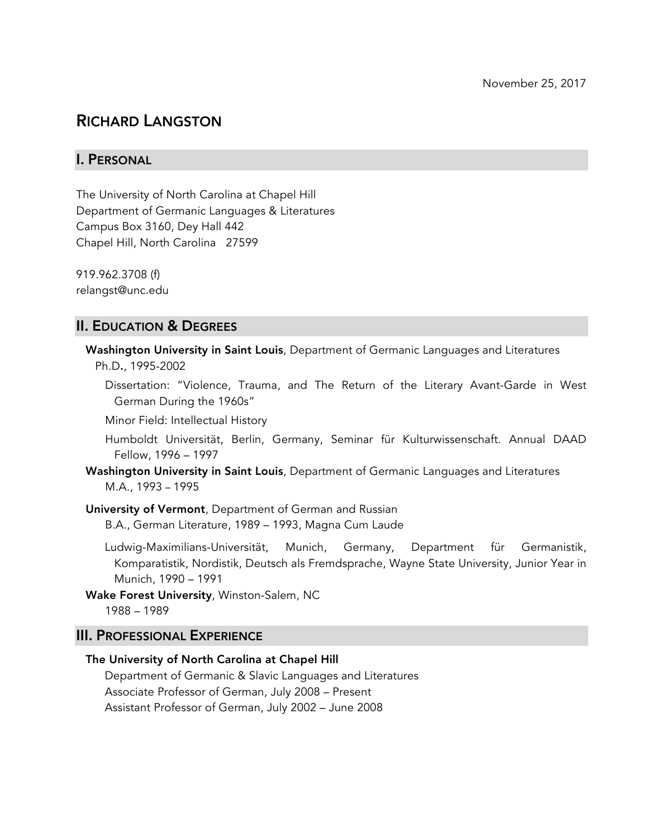# RICHARD LANGSTON

# I. PERSONAL

The University of North Carolina at Chapel Hill Department of Germanic Languages & Literatures Campus Box 3160, Dey Hall 442 Chapel Hill, North Carolina 27599

919.962.3708 (f) relangst@unc.edu

# II. EDUCATION & DEGREES

Washington University in Saint Louis, Department of Germanic Languages and Literatures Ph.D., 1995-2002

Dissertation: "Violence, Trauma, and The Return of the Literary Avant-Garde in West German During the 1960s"

Minor Field: Intellectual History

Humboldt Universität, Berlin, Germany, Seminar für Kulturwissenschaft. Annual DAAD Fellow, 1996 – 1997

Washington University in Saint Louis, Department of Germanic Languages and Literatures M.A., 1993 – 1995

University of Vermont, Department of German and Russian

B.A., German Literature, 1989 – 1993, Magna Cum Laude

Ludwig-Maximilians-Universität, Munich, Germany, Department für Germanistik, Komparatistik, Nordistik, Deutsch als Fremdsprache, Wayne State University, Junior Year in Munich, 1990 – 1991

Wake Forest University, Winston-Salem, NC 1988 – 1989

## III. PROFESSIONAL EXPERIENCE

The University of North Carolina at Chapel Hill Department of Germanic & Slavic Languages and Literatures Associate Professor of German, July 2008 – Present Assistant Professor of German, July 2002 – June 2008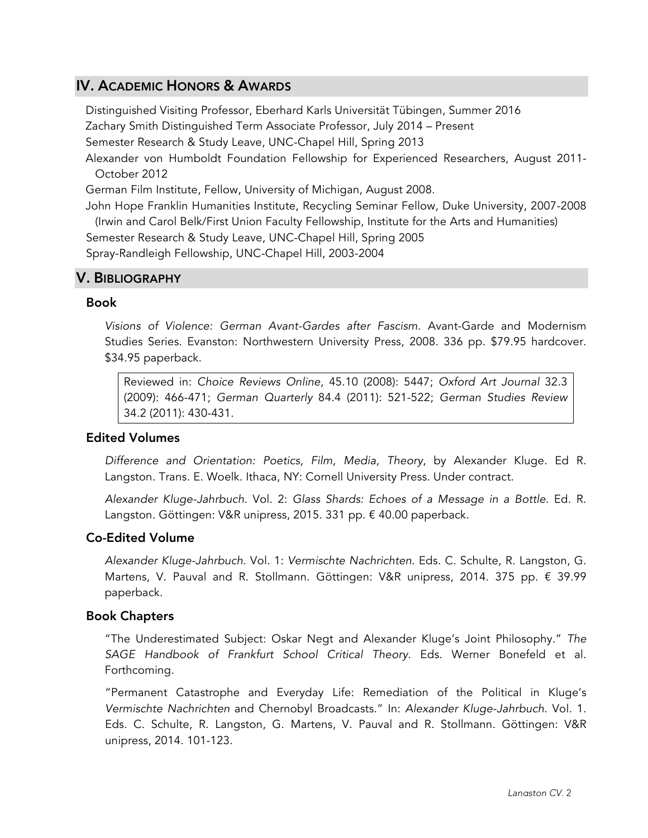# IV. ACADEMIC HONORS & AWARDS

Distinguished Visiting Professor, Eberhard Karls Universität Tübingen, Summer 2016 Zachary Smith Distinguished Term Associate Professor, July 2014 – Present Semester Research & Study Leave, UNC-Chapel Hill, Spring 2013

Alexander von Humboldt Foundation Fellowship for Experienced Researchers, August 2011- October 2012

German Film Institute, Fellow, University of Michigan, August 2008.

John Hope Franklin Humanities Institute, Recycling Seminar Fellow, Duke University, 2007-2008 (Irwin and Carol Belk/First Union Faculty Fellowship, Institute for the Arts and Humanities) Semester Research & Study Leave, UNC-Chapel Hill, Spring 2005 Spray-Randleigh Fellowship, UNC-Chapel Hill, 2003-2004

# V. BIBLIOGRAPHY

## Book

*Visions of Violence: German Avant-Gardes after Fascism*. Avant-Garde and Modernism Studies Series. Evanston: Northwestern University Press, 2008. 336 pp. \$79.95 hardcover. \$34.95 paperback.

Reviewed in: *Choice Reviews Online*, 45.10 (2008): 5447; *Oxford Art Journal* 32.3 (2009): 466-471; *German Quarterly* 84.4 (2011): 521-522; *German Studies Review* 34.2 (2011): 430-431.

## Edited Volumes

*Difference and Orientation: Poetics, Film, Media, Theory*, by Alexander Kluge. Ed R. Langston. Trans. E. Woelk. Ithaca, NY: Cornell University Press. Under contract.

*Alexander Kluge-Jahrbuch*. Vol. 2: *Glass Shards: Echoes of a Message in a Bottle*. Ed. R. Langston. Göttingen: V&R unipress, 2015. 331 pp. € 40.00 paperback.

## Co-Edited Volume

*Alexander Kluge-Jahrbuch*. Vol. 1: *Vermischte Nachrichten*. Eds. C. Schulte, R. Langston, G. Martens, V. Pauval and R. Stollmann. Göttingen: V&R unipress, 2014. 375 pp. € 39.99 paperback.

## Book Chapters

"The Underestimated Subject: Oskar Negt and Alexander Kluge's Joint Philosophy." *The SAGE Handbook of Frankfurt School Critical Theory*. Eds. Werner Bonefeld et al. Forthcoming.

"Permanent Catastrophe and Everyday Life: Remediation of the Political in Kluge's *Vermischte Nachrichten* and Chernobyl Broadcasts." In: *Alexander Kluge-Jahrbuch*. Vol. 1. Eds. C. Schulte, R. Langston, G. Martens, V. Pauval and R. Stollmann. Göttingen: V&R unipress, 2014. 101-123.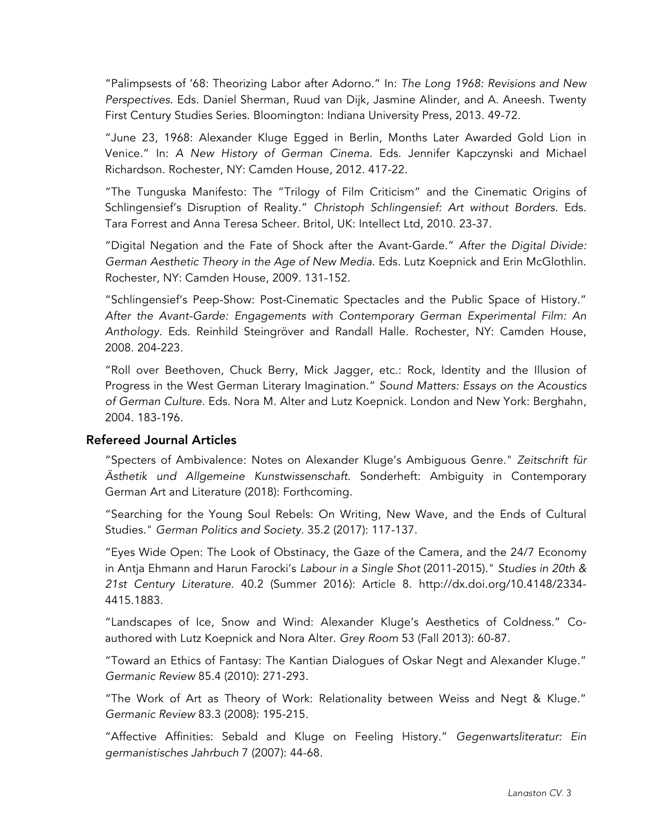"Palimpsests of '68: Theorizing Labor after Adorno." In: *The Long 1968: Revisions and New Perspectives*. Eds. Daniel Sherman, Ruud van Dijk, Jasmine Alinder, and A. Aneesh. Twenty First Century Studies Series. Bloomington: Indiana University Press, 2013. 49-72.

"June 23, 1968: Alexander Kluge Egged in Berlin, Months Later Awarded Gold Lion in Venice." In: *A New History of German Cinema*. Eds. Jennifer Kapczynski and Michael Richardson. Rochester, NY: Camden House, 2012. 417-22.

"The Tunguska Manifesto: The "Trilogy of Film Criticism" and the Cinematic Origins of Schlingensief's Disruption of Reality." *Christoph Schlingensief: Art without Borders*. Eds. Tara Forrest and Anna Teresa Scheer. Britol, UK: Intellect Ltd, 2010. 23-37.

"Digital Negation and the Fate of Shock after the Avant-Garde." *After the Digital Divide: German Aesthetic Theory in the Age of New Media*. Eds. Lutz Koepnick and Erin McGlothlin. Rochester, NY: Camden House, 2009. 131-152.

"Schlingensief's Peep-Show: Post-Cinematic Spectacles and the Public Space of History." *After the Avant-Garde: Engagements with Contemporary German Experimental Film: An Anthology*. Eds. Reinhild Steingröver and Randall Halle. Rochester, NY: Camden House, 2008. 204-223.

"Roll over Beethoven, Chuck Berry, Mick Jagger, etc.: Rock, Identity and the Illusion of Progress in the West German Literary Imagination." *Sound Matters: Essays on the Acoustics of German Culture*. Eds. Nora M. Alter and Lutz Koepnick. London and New York: Berghahn, 2004. 183-196.

## Refereed Journal Articles

"Specters of Ambivalence: Notes on Alexander Kluge's Ambiguous Genre." *Zeitschrift für Ästhetik und Allgemeine Kunstwissenschaft*. Sonderheft: Ambiguity in Contemporary German Art and Literature (2018): Forthcoming.

"Searching for the Young Soul Rebels: On Writing, New Wave, and the Ends of Cultural Studies." *German Politics and Society*. 35.2 (2017): 117-137.

"Eyes Wide Open: The Look of Obstinacy, the Gaze of the Camera, and the 24/7 Economy in Antja Ehmann and Harun Farocki's *Labour in a Single Shot* (2011-2015)." *Studies in 20th & 21st Century Literature*. 40.2 (Summer 2016): Article 8. http://dx.doi.org/10.4148/2334- 4415.1883.

"Landscapes of Ice, Snow and Wind: Alexander Kluge's Aesthetics of Coldness." Coauthored with Lutz Koepnick and Nora Alter. *Grey Room* 53 (Fall 2013): 60-87.

"Toward an Ethics of Fantasy: The Kantian Dialogues of Oskar Negt and Alexander Kluge." *Germanic Review* 85.4 (2010): 271-293.

"The Work of Art as Theory of Work: Relationality between Weiss and Negt & Kluge." *Germanic Review* 83.3 (2008): 195-215.

"Affective Affinities: Sebald and Kluge on Feeling History." *Gegenwartsliteratur: Ein germanistisches Jahrbuch* 7 (2007): 44-68.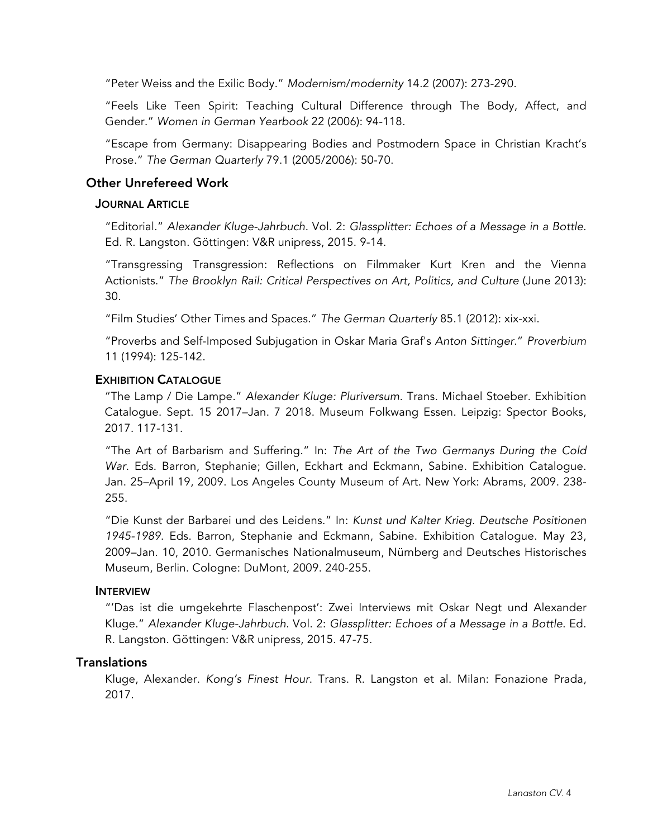"Peter Weiss and the Exilic Body." *Modernism*/*modernity* 14.2 (2007): 273-290.

"Feels Like Teen Spirit: Teaching Cultural Difference through The Body, Affect, and Gender." *Women in German Yearbook* 22 (2006): 94-118.

"Escape from Germany: Disappearing Bodies and Postmodern Space in Christian Kracht's Prose." *The German Quarterly* 79.1 (2005/2006): 50-70.

# Other Unrefereed Work

## **JOURNAL ARTICLE**

"Editorial." *Alexander Kluge-Jahrbuch*. Vol. 2: *Glassplitter: Echoes of a Message in a Bottle*. Ed. R. Langston. Göttingen: V&R unipress, 2015. 9-14.

"Transgressing Transgression: Reflections on Filmmaker Kurt Kren and the Vienna Actionists." *The Brooklyn Rail: Critical Perspectives on Art, Politics, and Culture* (June 2013): 30.

"Film Studies' Other Times and Spaces." *The German Quarterly* 85.1 (2012): xix-xxi.

"Proverbs and Self-Imposed Subjugation in Oskar Maria Graf's *Anton Sittinger*." *Proverbium* 11 (1994): 125-142.

## EXHIBITION CATALOGUE

"The Lamp / Die Lampe." *Alexander Kluge: Pluriversum*. Trans. Michael Stoeber. Exhibition Catalogue. Sept. 15 2017–Jan. 7 2018. Museum Folkwang Essen. Leipzig: Spector Books, 2017. 117-131.

"The Art of Barbarism and Suffering." In: *The Art of the Two Germanys During the Cold War*. Eds. Barron, Stephanie; Gillen, Eckhart and Eckmann, Sabine. Exhibition Catalogue. Jan. 25–April 19, 2009. Los Angeles County Museum of Art. New York: Abrams, 2009. 238- 255.

"Die Kunst der Barbarei und des Leidens." In: *Kunst und Kalter Krieg. Deutsche Positionen 1945-1989*. Eds. Barron, Stephanie and Eckmann, Sabine. Exhibition Catalogue. May 23, 2009–Jan. 10, 2010. Germanisches Nationalmuseum, Nürnberg and Deutsches Historisches Museum, Berlin. Cologne: DuMont, 2009. 240-255.

## INTERVIEW

"'Das ist die umgekehrte Flaschenpost': Zwei Interviews mit Oskar Negt und Alexander Kluge." *Alexander Kluge-Jahrbuch*. Vol. 2: *Glassplitter: Echoes of a Message in a Bottle*. Ed. R. Langston. Göttingen: V&R unipress, 2015. 47-75.

## **Translations**

Kluge, Alexander. *Kong's Finest Hour*. Trans. R. Langston et al. Milan: Fonazione Prada, 2017.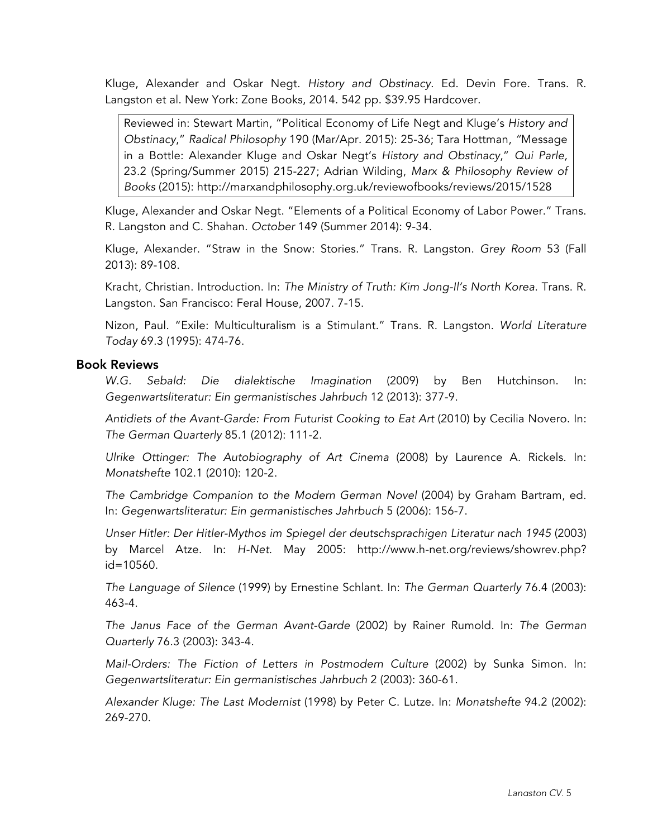Kluge, Alexander and Oskar Negt. *History and Obstinacy*. Ed. Devin Fore. Trans. R. Langston et al. New York: Zone Books, 2014. 542 pp. \$39.95 Hardcover.

Reviewed in: Stewart Martin, "Political Economy of Life Negt and Kluge's *History and Obstinacy*," *Radical Philosophy* 190 (Mar/Apr. 2015): 25-36; Tara Hottman, *"*Message in a Bottle: Alexander Kluge and Oskar Negt's *History and Obstinacy*," *Qui Parle,*  23.2 (Spring/Summer 2015) 215-227; Adrian Wilding, *Marx & Philosophy Review of Books* (2015): http://marxandphilosophy.org.uk/reviewofbooks/reviews/2015/1528

Kluge, Alexander and Oskar Negt. "Elements of a Political Economy of Labor Power." Trans. R. Langston and C. Shahan. *October* 149 (Summer 2014): 9-34.

Kluge, Alexander. "Straw in the Snow: Stories." Trans. R. Langston. *Grey Room* 53 (Fall 2013): 89-108.

Kracht, Christian. Introduction. In: *The Ministry of Truth: Kim Jong-Il's North Korea*. Trans. R. Langston. San Francisco: Feral House, 2007. 7-15.

Nizon, Paul. "Exile: Multiculturalism is a Stimulant." Trans. R. Langston. *World Literature Today* 69.3 (1995): 474-76.

## Book Reviews

*W.G. Sebald: Die dialektische Imagination* (2009) by Ben Hutchinson. In: *Gegenwartsliteratur: Ein germanistisches Jahrbuch* 12 (2013): 377-9.

*Antidiets of the Avant-Garde: From Futurist Cooking to Eat Art* (2010) by Cecilia Novero. In: *The German Quarterly* 85.1 (2012): 111-2.

*Ulrike Ottinger: The Autobiography of Art Cinema* (2008) by Laurence A. Rickels. In: *Monatshefte* 102.1 (2010): 120-2.

*The Cambridge Companion to the Modern German Novel* (2004) by Graham Bartram, ed. In: *Gegenwartsliteratur: Ein germanistisches Jahrbuch* 5 (2006): 156-7.

*Unser Hitler: Der Hitler-Mythos im Spiegel der deutschsprachigen Literatur nach 1945* (2003) by Marcel Atze. In: *H-Net*. May 2005: http://www.h-net.org/reviews/showrev.php? id=10560.

*The Language of Silence* (1999) by Ernestine Schlant. In: *The German Quarterly* 76.4 (2003): 463-4.

*The Janus Face of the German Avant-Garde* (2002) by Rainer Rumold. In: *The German Quarterly* 76.3 (2003): 343-4.

*Mail-Orders: The Fiction of Letters in Postmodern Culture* (2002) by Sunka Simon. In: *Gegenwartsliteratur: Ein germanistisches Jahrbuch* 2 (2003): 360-61.

*Alexander Kluge: The Last Modernist* (1998) by Peter C. Lutze. In: *Monatshefte* 94.2 (2002): 269-270.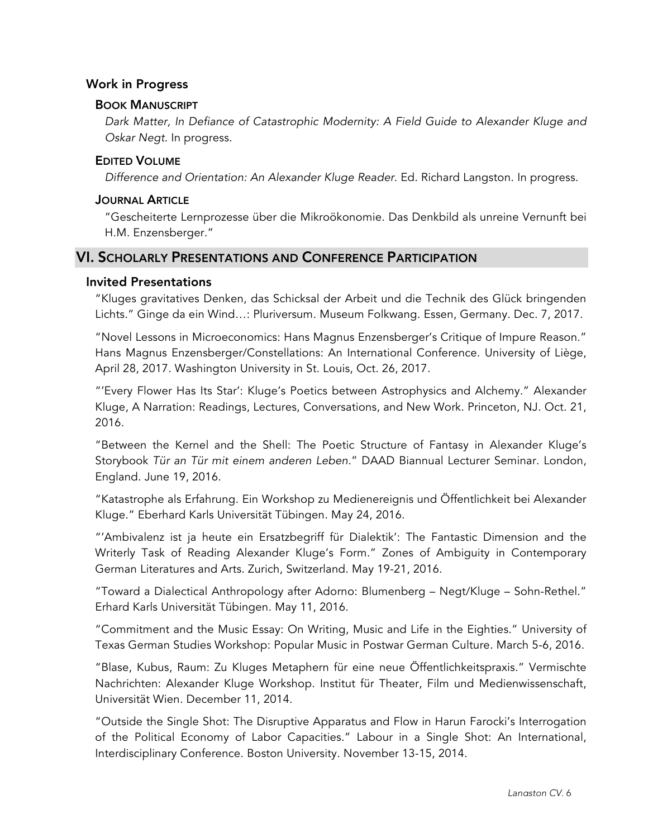## Work in Progress

#### BOOK MANUSCRIPT

*Dark Matter, In Defiance of Catastrophic Modernity: A Field Guide to Alexander Kluge and Oskar Negt*. In progress.

#### EDITED VOLUME

*Difference and Orientation: An Alexander Kluge Reader*. Ed. Richard Langston. In progress.

#### JOURNAL ARTICLE

"Gescheiterte Lernprozesse über die Mikroökonomie. Das Denkbild als unreine Vernunft bei H.M. Enzensberger."

# VI. SCHOLARLY PRESENTATIONS AND CONFERENCE PARTICIPATION

#### Invited Presentations

"Kluges gravitatives Denken, das Schicksal der Arbeit und die Technik des Glück bringenden Lichts." Ginge da ein Wind…: Pluriversum. Museum Folkwang. Essen, Germany. Dec. 7, 2017.

"Novel Lessons in Microeconomics: Hans Magnus Enzensberger's Critique of Impure Reason." Hans Magnus Enzensberger/Constellations: An International Conference. University of Liège, April 28, 2017. Washington University in St. Louis, Oct. 26, 2017.

"'Every Flower Has Its Star': Kluge's Poetics between Astrophysics and Alchemy." Alexander Kluge, A Narration: Readings, Lectures, Conversations, and New Work. Princeton, NJ. Oct. 21, 2016.

"Between the Kernel and the Shell: The Poetic Structure of Fantasy in Alexander Kluge's Storybook *Tür an Tür mit einem anderen Leben*." DAAD Biannual Lecturer Seminar. London, England. June 19, 2016.

"Katastrophe als Erfahrung. Ein Workshop zu Medienereignis und Öffentlichkeit bei Alexander Kluge." Eberhard Karls Universität Tübingen. May 24, 2016.

"'Ambivalenz ist ja heute ein Ersatzbegriff für Dialektik': The Fantastic Dimension and the Writerly Task of Reading Alexander Kluge's Form." Zones of Ambiguity in Contemporary German Literatures and Arts. Zurich, Switzerland. May 19-21, 2016.

"Toward a Dialectical Anthropology after Adorno: Blumenberg – Negt/Kluge – Sohn-Rethel." Erhard Karls Universität Tübingen. May 11, 2016.

"Commitment and the Music Essay: On Writing, Music and Life in the Eighties." University of Texas German Studies Workshop: Popular Music in Postwar German Culture. March 5-6, 2016.

"Blase, Kubus, Raum: Zu Kluges Metaphern für eine neue Öffentlichkeitspraxis." Vermischte Nachrichten: Alexander Kluge Workshop. Institut für Theater, Film und Medienwissenschaft, Universität Wien. December 11, 2014.

"Outside the Single Shot: The Disruptive Apparatus and Flow in Harun Farocki's Interrogation of the Political Economy of Labor Capacities." Labour in a Single Shot: An International, Interdisciplinary Conference. Boston University. November 13-15, 2014.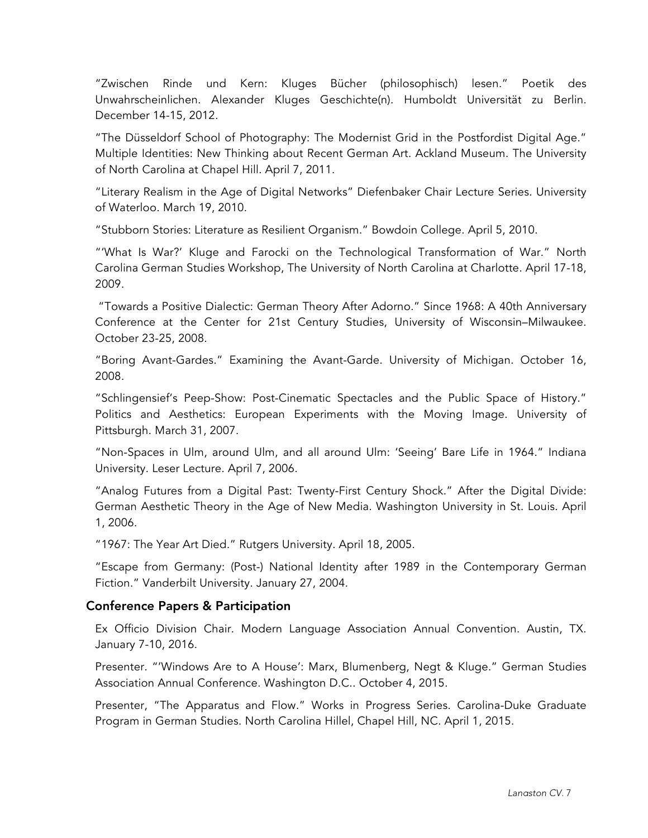"Zwischen Rinde und Kern: Kluges Bücher (philosophisch) lesen." Poetik des Unwahrscheinlichen. Alexander Kluges Geschichte(n). Humboldt Universität zu Berlin. December 14-15, 2012.

"The Düsseldorf School of Photography: The Modernist Grid in the Postfordist Digital Age." Multiple Identities: New Thinking about Recent German Art. Ackland Museum. The University of North Carolina at Chapel Hill. April 7, 2011.

"Literary Realism in the Age of Digital Networks" Diefenbaker Chair Lecture Series. University of Waterloo. March 19, 2010.

"Stubborn Stories: Literature as Resilient Organism." Bowdoin College. April 5, 2010.

"'What Is War?' Kluge and Farocki on the Technological Transformation of War." North Carolina German Studies Workshop, The University of North Carolina at Charlotte. April 17-18, 2009.

"Towards a Positive Dialectic: German Theory After Adorno." Since 1968: A 40th Anniversary Conference at the Center for 21st Century Studies, University of Wisconsin–Milwaukee. October 23-25, 2008.

"Boring Avant-Gardes." Examining the Avant-Garde. University of Michigan. October 16, 2008.

"Schlingensief's Peep-Show: Post-Cinematic Spectacles and the Public Space of History." Politics and Aesthetics: European Experiments with the Moving Image. University of Pittsburgh. March 31, 2007.

"Non-Spaces in Ulm, around Ulm, and all around Ulm: 'Seeing' Bare Life in 1964." Indiana University. Leser Lecture. April 7, 2006.

"Analog Futures from a Digital Past: Twenty-First Century Shock." After the Digital Divide: German Aesthetic Theory in the Age of New Media. Washington University in St. Louis. April 1, 2006.

"1967: The Year Art Died." Rutgers University. April 18, 2005.

"Escape from Germany: (Post-) National Identity after 1989 in the Contemporary German Fiction." Vanderbilt University. January 27, 2004.

# Conference Papers & Participation

Ex Officio Division Chair. Modern Language Association Annual Convention. Austin, TX. January 7-10, 2016.

Presenter. "'Windows Are to A House': Marx, Blumenberg, Negt & Kluge." German Studies Association Annual Conference. Washington D.C.. October 4, 2015.

Presenter, "The Apparatus and Flow." Works in Progress Series. Carolina-Duke Graduate Program in German Studies. North Carolina Hillel, Chapel Hill, NC. April 1, 2015.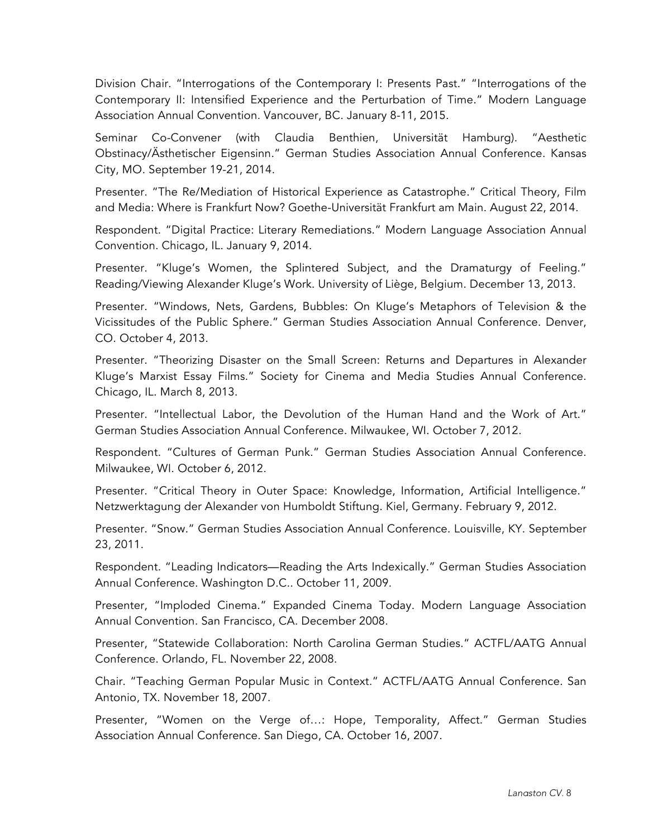Division Chair. "Interrogations of the Contemporary I: Presents Past." "Interrogations of the Contemporary II: Intensified Experience and the Perturbation of Time." Modern Language Association Annual Convention. Vancouver, BC. January 8-11, 2015.

Seminar Co-Convener (with Claudia Benthien, Universität Hamburg). "Aesthetic Obstinacy/Ästhetischer Eigensinn." German Studies Association Annual Conference. Kansas City, MO. September 19-21, 2014.

Presenter. "The Re/Mediation of Historical Experience as Catastrophe." Critical Theory, Film and Media: Where is Frankfurt Now? Goethe-Universität Frankfurt am Main. August 22, 2014.

Respondent. "Digital Practice: Literary Remediations." Modern Language Association Annual Convention. Chicago, IL. January 9, 2014.

Presenter. "Kluge's Women, the Splintered Subject, and the Dramaturgy of Feeling." Reading/Viewing Alexander Kluge's Work. University of Liège, Belgium. December 13, 2013.

Presenter. "Windows, Nets, Gardens, Bubbles: On Kluge's Metaphors of Television & the Vicissitudes of the Public Sphere." German Studies Association Annual Conference. Denver, CO. October 4, 2013.

Presenter. "Theorizing Disaster on the Small Screen: Returns and Departures in Alexander Kluge's Marxist Essay Films." Society for Cinema and Media Studies Annual Conference. Chicago, IL. March 8, 2013.

Presenter. "Intellectual Labor, the Devolution of the Human Hand and the Work of Art." German Studies Association Annual Conference. Milwaukee, WI. October 7, 2012.

Respondent. "Cultures of German Punk." German Studies Association Annual Conference. Milwaukee, WI. October 6, 2012.

Presenter. "Critical Theory in Outer Space: Knowledge, Information, Artificial Intelligence." Netzwerktagung der Alexander von Humboldt Stiftung. Kiel, Germany. February 9, 2012.

Presenter. "Snow." German Studies Association Annual Conference. Louisville, KY. September 23, 2011.

Respondent. "Leading Indicators—Reading the Arts Indexically." German Studies Association Annual Conference. Washington D.C.. October 11, 2009.

Presenter, "Imploded Cinema." Expanded Cinema Today. Modern Language Association Annual Convention. San Francisco, CA. December 2008.

Presenter, "Statewide Collaboration: North Carolina German Studies." ACTFL/AATG Annual Conference. Orlando, FL. November 22, 2008.

Chair. "Teaching German Popular Music in Context." ACTFL/AATG Annual Conference. San Antonio, TX. November 18, 2007.

Presenter, "Women on the Verge of…: Hope, Temporality, Affect." German Studies Association Annual Conference. San Diego, CA. October 16, 2007.